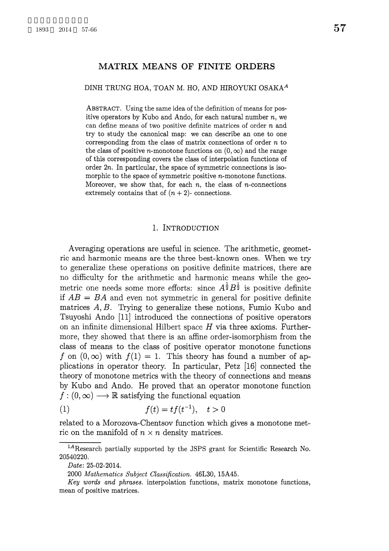### MATRIX MEANS OF FINITE ORDERS

#### DINH TRUNG HOA, TOAN M. HO, AND HIROYUKI OSAKA<sup>A</sup>

ABSTRACT. Using the same idea of the definition of means for positive operators by Kubo and Ando, for each natural number  $n$ , we can define means of two positive definite matrices of order  $n$  and try to study the canonical map: we can describe an one to one corresponding from the class of matrix connections of order  $n$  to the class of positive *n*-monotone functions on  $(0, \infty)$  and the range of this corresponding covers the class of interpolation functions of order  $2n$ . In particular, the space of symmetric connections is isomorphic to the space of symmetric positive  $n$ -monotone functions. Moreover, we show that, for each  $n$ , the class of  $n$ -connections extremely contains that of  $(n+2)$ - connections.

#### 1. INTRODUCTION

Averaging operations are useful in science. The arithmetic, geometric and harmonic means are the three best-known ones. When we try to generalize these operations on positive definite matrices, there are no difficulty for the arithmetic and harmonic means while the geometric one needs some more efforts: since  $A^{\frac{1}{2}}B^{\frac{1}{2}}$  is positive definite if  $AB = BA$  and even not symmetric in general for positive definite matrices  $A, B$ . Trying to generalize these notions, Fumio Kubo and Tsuyoshi Ando [11] introduced the connections of positive operators on an infinite dimensional Hilbert space  $H$  via three axioms. Furthermore, they showed that there is an affine order-isomorphism from the class of means to the class of positive operator monotone functions f on  $(0, \infty)$  with  $f(1)=1$ . This theory has found a number of applications in operator theory. In particular, Petz [16] connected the theory of monotone metrics with the theory of connections and means by Kubo and Ando. He proved that an operator monotone function  $f : (0, \infty) \longrightarrow \mathbb{R}$  satisfying the functional equation

$$
(1) \qquad \qquad f(t) = tf(t^{-1}), \quad t > 0
$$

related to a Morozova-Chentsov function which gives a monotone metric on the manifold of  $n \times n$  density matrices.

 $^{1A}$ Research partially supported by the JSPS grant for Scientific Research No. 20540220.

Date: 25-02-2014.

<sup>2000</sup> Mathematics Subject Classification. 46L30, 15A45.

Key words and phrases. interpolation functions, matrix monotone functions, mean of positive matrices.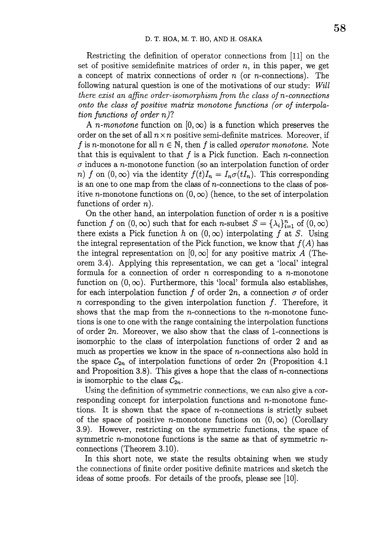Restricting the definition of operator connections from [11] on the set of positive semidefinite matrices of order  $n$ , in this paper, we get a concept of matrix connections of order  $n$  (or  $n$ -connections). The following natural question is one of the motivations of our study: Will there exist an affine order-isomorphism from the class of  $n$ -connections onto the class of positive matrix monotone functions (or of interpolation functions of order  $n$ ?

A *n*-monotone function on  $[0, \infty)$  is a function which preserves the order on the set of all  $n \times n$  positive semi-definite matrices. Moreover, if f is n-monotone for all  $n \in \mathbb{N}$ , then f is called *operator monotone*. Note that this is equivalent to that  $f$  is a Pick function. Each  $n$ -connection  $\sigma$  induces a *n*-monotone function (so an interpolation function of order n) f on  $(0, \infty)$  via the identity  $f(t)I_{n}=I_{n}\sigma(tI_{n})$ . This corresponding is an one to one map from the class of  $n$ -connections to the class of positive *n*-monotone functions on  $(0, \infty)$  (hence, to the set of interpolation functions of order  $n$ ).

On the other hand, an interpolation function of order  $n$  is a positive function f on  $(0, \infty)$  such that for each n-subset  $S=\{\lambda_{i}\}_{i=1}^{n}$  of  $(0, \infty)$ there exists a Pick function h on  $(0, \infty)$  interpolating f at S. Using the integral representation of the Pick function, we know that  $f(A)$  has the integral representation on  $[0, \infty]$  for any positive matrix A (Theorem 3.4). Applying this representation, we can get a 'local' integral formula for a connection of order  $n$  corresponding to a  $n$ -monotone function on  $(0, \infty)$ . Furthermore, this 'local' formula also establishes, for each interpolation function f of order  $2n$ , a connection  $\sigma$  of order n corresponding to the given interpolation function  $f$ . Therefore, it shows that the map from the  $n$ -connections to the  $n$ -monotone functions is one to one with the range containing the interpolation functions of order  $2n$ . Moreover, we also show that the class of 1-connections is isomorphic to the class of interpolation functions of order 2 and as much as properties we know in the space of  $n$ -connections also hold in the space  $\mathcal{C}_{2n}$  of interpolation functions of order  $2n$  (Proposition 4.1) and Proposition 3.8). This gives a hope that the class of  $n$ -connections is isomorphic to the class  $\mathcal{C}_{2n}$ .

Using the definition of symmetric connections, we can also give a corresponding concept for interpolation functions and  $n$ -monotone functions. It is shown that the space of  $n$ -connections is strictly subset of the space of positive *n*-monotone functions on  $(0, \infty)$  (Corollary 3.9). However, restricting on the symmetric functions, the space of symmetric  $n$ -monotone functions is the same as that of symmetric  $n$ connections (Theorem 3.10).

In this short note, we state the results obtaining when we study the connections of finite order positive definite matrices and sketch the ideas of some proofs. For details of the proofs, please see [10].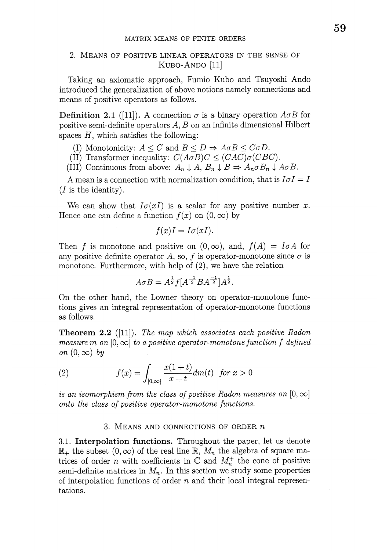# 2. MEANS OF POSITIVE LINEAR OPERATORS IN THE SENSE OF  $KUBO-ANDO [11]$

Taking an axiomatic approach, Fumio Kubo and Tsuyoshi Ando introduced the generalization of above notions namely connections and means of positive operators as follows.

**Definition 2.1** ([11]). A connection  $\sigma$  is a binary operation  $A\sigma B$  for positive semi-definite operators  $A, B$  on an infinite dimensional Hilbert spaces  $H$ , which satisfies the following:

(I) Monotonicity:  $A \leq C$  and  $B \leq D \Rightarrow A\sigma B \leq C\sigma D$ .

(II) Transformer inequality:  $C(A\sigma B)C \leq (CAC)\sigma(CBC)$ .

(III) Continuous from above:  $A_{n}\downarrow A, B_{n}\downarrow B \Rightarrow A_{n}\sigma B_{n}\downarrow A\sigma B.$ 

A mean is a connection with normalization condition, that is  $I\sigma I=I$  $(I$  is the identity).

We can show that  $I\sigma(xI)$  is a scalar for any positive number x. Hence one can define a function  $f(x)$  on  $(0, \infty)$  by

$$
f(x)I = I\sigma(xI).
$$

Then f is monotone and positive on  $(0, \infty)$ , and,  $f(A)=I\sigma A$  for any positive definite operator A, so, f is operator-monotone since  $\sigma$  is monotone. Furthermore, with help of (2), we have the relation

$$
A\sigma B = A^{\frac{1}{2}}f[A^{-1/2}BA^{-1/2}A^{\frac{1}{2}}].
$$

On the other hand, the Lowner theory on operator-monotone functions gives an integral representation of operator-monotone functions as follows.

**Theorem 2.2** ([11]). The map which associates each positive Radon measure  $m$  on  $[0, \infty]$  to a positive operator-monotone function  $f$  defined on  $(0, \infty)$  by

(2) 
$$
f(x) = \int_{[0,\infty]} \frac{x(1+t)}{x+t} dm(t) \text{ for } x > 0
$$

is an isomorphism from the class of positive Radon measures on  $[0, \infty]$ onto the class of positive operator-monotone functions.

## 3. MEANS AND CONNECTIONS OF ORDER  $n$

3.1. Interpolation functions. Throughout the paper, let us denote  $\mathbb{R}_{+}$  the subset  $(0, \infty)$  of the real line  $\mathbb{R}$ ,  $M_{n}$  the algebra of square matrices of order n with coefficients in  $\mathbb{C}$  and  $M_{n}^{+}$  the cone of positive semi-definite matrices in  $M_{n}$ . In this section we study some properties of interpolation functions of order  $n$  and their local integral representations.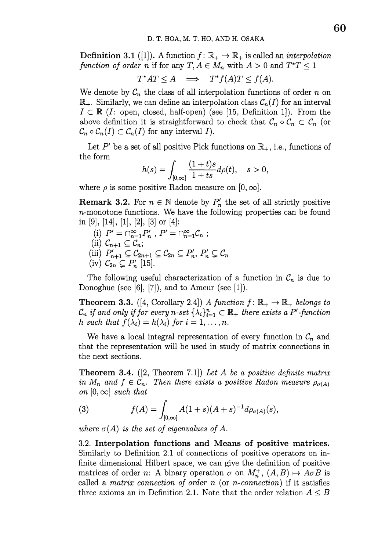**Definition 3.1** ([1]). A function  $f:\mathbb{R}_{+}\rightarrow \mathbb{R}_{+}$  is called an *interpolation* function of order n if for any  $T, A \in M_{n}$  with  $A>0$  and  $T^{*}T\leq 1$ 

$$
T^*AT \le A \quad \Longrightarrow \quad T^*f(A)T \le f(A).
$$

We denote by  $\mathcal{C}_{n}$  the class of all interpolation functions of order  $n$  on  $\mathbb{R}_{+}.$  Similarly, we can define an interpolation class  $\mathcal{C}_{n}(I)$  for an interval  $I\subset \mathbb{R}$  (I: open, closed, half-open) (see [15, Definition 1]). From the above definition it is straightforward to check that  $\mathcal{C}_{n}\circ \mathcal{C}_{n}\subset \mathcal{C}_{n}$  (or  $\mathcal{C}_{n}\circ \mathcal{C}_{n}(I)\subset \mathcal{C}_{n}(I)$  for any interval  $I$ ).

Let  $P'$  be a set of all positive Pick functions on  $\mathbb{R}_{+}$ , i.e., functions of the form

$$
h(s) = \int_{[0,\infty]} \frac{(1+t)s}{1+ts} d\rho(t), \quad s > 0,
$$

where  $\rho$  is some positive Radon measure on  $[0, \infty]$ .

**Remark 3.2.** For  $n \in \mathbb{N}$  denote by  $P_{n}'$  the set of all strictly positive  $n$ -monotone functions. We have the following properties can be found in [9], [14], [1], [2], [3] or [4]:

- (i)  $P' = \bigcap_{n=1}^{\infty}P_{n}'$ ,  $P' = \bigcap_{n=1}^{\infty}C_{n}$ ;
- (ii)  $\mathcal{C}_{n+1}\subseteq \mathcal{C}_{n}$ ;
- (iii)  $P_{n+1}'\subseteq \mathcal{C}_{2n+1}\subseteq \mathcal{C}_{2n}\subseteq P_{n}', P_{n}'\subseteq \mathcal{C}_{n}$
- (iv)  $\mathcal{C}_{2n}\subsetneq P_{n}'$  [15].

The following useful characterization of a function in  $\mathcal{C}_{n}$  is due to Donoghue (see  $[6]$ ,  $[7]$ ), and to Ameur (see  $[1]$ ).

**Theorem 3.3.** ([4, Corollary 2.4]) A function  $f:\mathbb{R}_{+}\rightarrow \mathbb{R}_{+}$  belongs to  $\mathcal{C}_{n}$  if and only if for every n-set  $\{\lambda_{i}\}_{i=1}^{n}\subset \mathbb{R}_{+}$  there exists a P'-function h such that  $f(\lambda_{i})=h(\lambda_{i})$  for  $i=1, \ldots, n$ .

We have a local integral representation of every function in  $\mathcal{C}_{n}$  and that the representation will be used in study of matrix connections in the next sections.

**Theorem 3.4.** ([2, Theorem 7.1]) Let A be a positive definite matrix in  $M_{n}$  and  $f\in \mathcal{C}_{n}$ . Then there exists a positive Radon measure  $\rho_{\sigma(A)}$ on  $[0, \infty]$  such that

(3) 
$$
f(A) = \int_{[0,\infty]} A(1+s)(A+s)^{-1} d\rho_{\sigma(A)}(s),
$$

where  $\sigma(A)$  is the set of eigenvalues of A.

3.2. Interpolation functions and Means of positive matrices. Similarly to Definition 2.1 of connections of positive operators on infinite dimensional Hilbert space, we can give the definition of positive matrices of order n: A binary operation  $\sigma$  on  $M_{n}^{+}$ ,  $(A, B)\mapsto A\sigma B$  is called a matrix connection of order  $n$  (or  $n$ -connection) if it satisfies three axioms an in Definition 2.1. Note that the order relation  $A \leq B$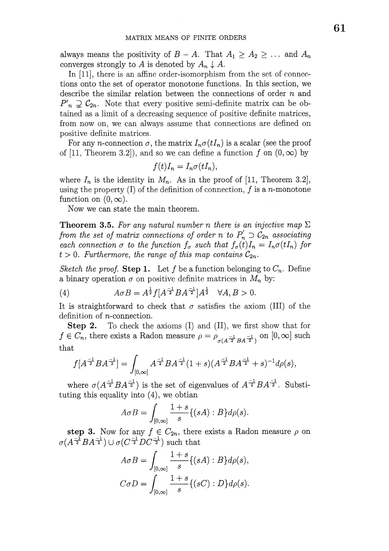always means the positivity of  $B-A$ . That  $A_{1}\geq A_{2}\geq\ldots$  and  $A_{n}$ converges strongly to A is denoted by  $A_{n}\downarrow A$ .

In [11], there is an affine order-isomorphism from the set of connections onto the set of operator monotone functions. In this section, we describe the similar relation between the connections of order  $n$  and  $P'_{n} \supsetneq C_{2n}$ . Note that every positive semi-definite matrix can be obtained as a limit of a decreasing sequence of positive definite matrices, from now on, we can always assume that connections are defined on positive definite matrices.

For any *n*-connection  $\sigma$ , the matrix  $I_{n}\sigma(tI_{n})$  is a scalar (see the proof of [11, Theorem 3.2]), and so we can define a function  $f$  on  $(0, \infty)$  by

$$
f(t)I_n = I_n \sigma(tI_n),
$$

where  $I_{n}$  is the identity in  $M_{n}$ . As in the proof of [11, Theorem 3.2], using the property (I) of the definition of connection,  $f$  is a n-monotone function on  $(0, \infty)$ .

Now we can state the main theorem.

**Theorem 3.5.** For any natural number n there is an injective map  $\Sigma$ from the set of matrix connections of order n to  $P'_{n} \supset C_{2n}$  associating each connection  $\sigma$  to the function  $f_{\sigma}$  such that  $f_{\sigma}(t)I_{n}=I_{n}\sigma(tI_{n})$  for  $t>0$ . Furthermore, the range of this map contains  $\mathcal{C}_{2n}$ .

Sketch the proof. Step 1. Let f be a function belonging to  $C_{n}$ . Define a binary operation  $\sigma$  on positive definite matrices in  $M_{n}$  by:

(4) 
$$
A \sigma B = A^{\frac{1}{2}} f[A^{-1} B A^{-1} A^{\frac{1}{2}}] A^{\frac{1}{2}} \quad \forall A, B > 0.
$$

It is straightforward to check that  $\sigma$  satisfies the axiom (III) of the definition of  $n$ -connection.

Step 2. To check the axioms (I) and (II), we first show that for  $f\in C_{n},$  there exists a Radon measure  $\rho=\rho_{\sigma(A^{\frac{-1}{2}}BA^{\frac{-1}{2}})}$  on  $[0, \infty]$  such that

$$
f[A^{-1/2}BA^{-1/2}]=\int_{[0,\infty]}A^{-1/2}BA^{-1/2}(1+s)(A^{-1/2}BA^{-1/2}+s)^{-1}d\rho(s),
$$

where  $\sigma(A^{\frac{-1}{2}}BA^{\frac{-1}{2}})$  is the set of eigenvalues of  $A^{\frac{-1}{2}}BA^{\frac{-1}{2}}$ . Substituting this equality into (4), we obtian

$$
A \sigma B = \int_{[0,\infty]} \frac{1+s}{s} \{ (sA) : B \} d\rho(s).
$$

step 3. Now for any  $f\in C_{2n}$ , there exists a Radon measure  $\rho$  on  $\sigma(A^{\frac{-1}{2}}BA^{\frac{-1}{2}})\cup\sigma(C^{\frac{-1}{2}}DC^{\frac{-1}{2}})$  such that

$$
A \sigma B = \int_{[0,\infty]} \frac{1+s}{s} \{ (sA) : B \} d\rho(s),
$$
  

$$
C \sigma D = \int_{[0,\infty]} \frac{1+s}{s} \{ (sC) : D \} d\rho(s).
$$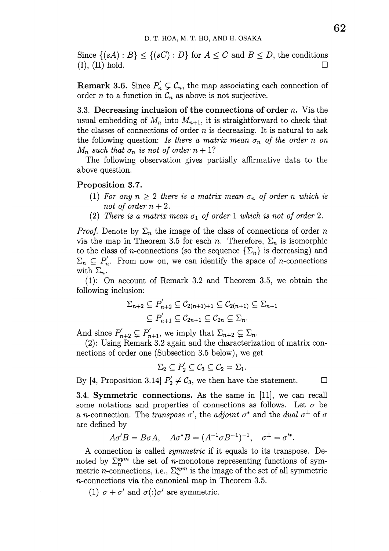Since  $\{(sA):B\}\leq\{(sC):D\}$  for  $A\leq C$  and  $B\leq D$ , the conditions (I), (II) hold.  $\Box$ 

**Remark 3.6.** Since  $P'_{n} \subsetneq C_{n}$ , the map associating each connection of order *n* to a function in  $\mathcal{C}_{n}$  as above is not surjective.

3.3. Decreasing inclusion of the connections of order  $n$ . Via the usual embedding of  $M_{n}$  into  $M_{n+1}$ , it is straightforward to check that the classes of connections of order  $n$  is decreasing. It is natural to ask the following question: Is there a matrix mean  $\sigma_{n}$  of the order n on  $M_{n}$  such that  $\sigma_{n}$  is not of order  $n+1$ ?

The following observation gives partially affirmative data to the above question.

## Proposition 3.7.

- (1) For any  $n\geq 2$  there is a matrix mean  $\sigma_{n}$  of order n which is not of order  $n+2$ .
- (2) There is a matrix mean  $\sigma_{1}$  of order 1 which is not of order 2.

*Proof.* Denote by  $\Sigma_{n}$  the image of the class of connections of order n via the map in Theorem 3.5 for each *n*. Therefore,  $\Sigma_{n}$  is isomorphic to the class of *n*-connections (so the sequence  $\{\Sigma_{n}\}\$ is decreasing) and  $\Sigma_{n}\subseteq P_{n}'$ . From now on, we can identify the space of *n*-connections with  $\Sigma_{n}$ .

(1): On account of Remark 3.2 and Theorem 3.5, we obtain the following inclusion:

$$
\Sigma_{n+2} \subseteq P'_{n+2} \subseteq C_{2(n+1)+1} \subseteq C_{2(n+1)} \subseteq \Sigma_{n+1}
$$

$$
\subseteq P'_{n+1} \subseteq C_{2n+1} \subseteq C_{2n} \subseteq \Sigma_n.
$$

And since  $P'_{n+2}\subsetneq P'_{n+1}$ , we imply that  $\Sigma_{n+2}\subsetneq\Sigma_{n}$ .

(2): Using Remark 3.2 again and the characterization of matrix connections of order one (Subsection 3.5 below), we get

$$
\Sigma_2 \subseteq P_2^{'} \subseteq C_3 \subseteq C_2 = \Sigma_1.
$$

By [4, Proposition 3.14]  $P'_{2} \neq C_{3}$ , we then have the statement.  $\Box$ 

3.4. Symmetric connections. As the same in [11], we can recall some notations and properties of connections as follows. Let  $\sigma$  be a *n*-connection. The *transpose*  $\sigma'$ , the *adjoint*  $\sigma^{*}$  and the *dual*  $\sigma^{\perp}$  of  $\sigma$ are defined by

$$
A\sigma'B = B\sigma A, \quad A\sigma^*B = (A^{-1}\sigma B^{-1})^{-1}, \quad \sigma^{\perp} = \sigma'^*.
$$

A connection is called *symmetric* if it equals to its transpose. Denoted by  $\Sigma_{n}^{sym}$  the set of  $n$ -monotone representing functions of symmetric *n*-connections, i.e.,  $\sum_{n}^{sym}$  is the image of the set of all symmetric  $n$ -connections via the canonical map in Theorem 3.5.

(1)  $\sigma + \sigma'$  and  $\sigma(.)\sigma'$  are symmetric.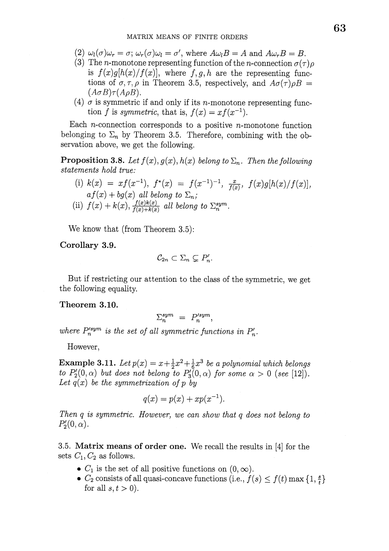- (2)  $\omega_{l}(\sigma)\omega_{r}=\sigma;\omega_{r}(\sigma)\omega_{l}=\sigma',$  where  $A\omega_{l}B=A$  and  $A\omega_{r}B=B$ .
- (3) The *n*-monotone representing function of the *n*-connection  $\sigma(\tau)\rho$ is  $f(x)g[h(x)/f(x)]$ , where f, g, h are the representing functions of  $\sigma, \tau, \rho$  in Theorem 3.5, respectively, and  $A\sigma(\tau)\rho B=$  $(A\sigma B)\tau(A\rho B)$ .
- (4)  $\sigma$  is symmetric if and only if its *n*-monotone representing function f is symmetric, that is,  $f(x)=xf(x^{-1})$ .

Each  $n$ -connection corresponds to a positive  $n$ -monotone function belonging to  $\Sigma_{n}$  by Theorem 3.5. Therefore, combining with the observation above, we get the following.

**Proposition 3.8.** Let  $f(x), g(x), h(x)$  belong to  $\Sigma_{n}$ . Then the following statements hold true:

(i) 
$$
k(x) = xf(x^{-1}), f^*(x) = f(x^{-1})^{-1}, \frac{x}{f(x)}, f(x)g[h(x)/f(x)],
$$
  
\n $af(x) + bg(x)$  all belong to  $\Sigma_n$ ;  
\n(ii)  $f(x) + k(x), \frac{f(x)k(x)}{f(x) + k(x)}$  all belong to  $\Sigma_n^{sym}$ .

We know that (from Theorem 3.5):

Corollary 3.9.

$$
\mathcal{C}_{2n} \subset \Sigma_n \subsetneq P'_n.
$$

But if restricting our attention to the class of the symmetric, we get the following equality.

#### Theorem 3.10.

$$
\Sigma_n^{sym} = P_n^{\prime sym},
$$

where  $P_{n}^{\prime sym}$  is the set of all symmetric functions in  $P_{n}'$ .

However,

**Example 3.11.** Let  $p(x)=x+\frac{1}{2}x^{2}+\frac{1}{6}x^{3}$  be a polynomial which belongs  $to \; P_{2}'(0, \alpha)$  but does not belong to  $P_{3}'(0, \alpha)$  for some  $\alpha>0$  (see [12]). Let  $q(x)$  be the symmetrization of p by

$$
q(x) = p(x) + xp(x^{-1}).
$$

Then  $q$  is symmetric. However, we can show that  $q$  does not belong to  $P_{2}'(0, \alpha)$ .

3.5. Matrix means of order one. We recall the results in [4] for the sets  $C_{1}, C_{2}$  as follows.

- $\bullet$   $C_{1}$  is the set of all positive functions on  $(0, \infty)$ .
- $\bullet$   $C_{2}$  consists of all quasi-concave functions (i.e.,  $f(s)\leq f(t)\max\{1, \frac{s}{t}\}\$ for all  $s, t > 0$ ).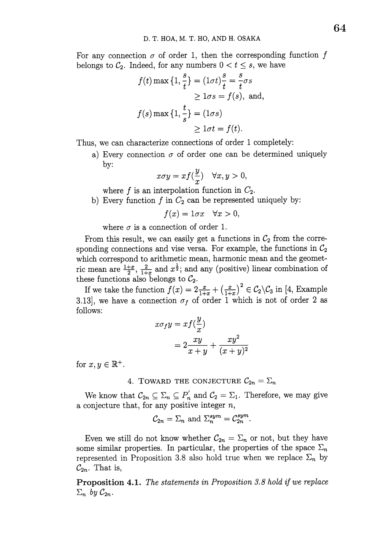For any connection  $\sigma$  of order 1, then the corresponding function f belongs to  $\mathcal{C}_2$ . Indeed, for any numbers  $0 < t \leq s$ , we have

$$
f(t) \max\{1, \frac{s}{t}\} = (1\sigma t)\frac{s}{t} = \frac{s}{t}\sigma s
$$
  
\n
$$
\geq 1\sigma s = f(s), \text{ and,}
$$
  
\n
$$
f(s) \max\{1, \frac{t}{s}\} = (1\sigma s)
$$
  
\n
$$
\geq 1\sigma t = f(t).
$$

Thus, we can characterize connections of order <sup>1</sup> completely:

a) Every connection  $\sigma$  of order one can be determined uniquely by:

$$
x\sigma y = xf(\frac{y}{x}) \quad \forall x, y > 0,
$$

where f is an interpolation function in  $C_{2}$ .

b) Every function  $f$  in  $C_{2}$  can be represented uniquely by:

 $f(x)=1\sigma x \quad \forall x>0,$ 

where  $\sigma$  is a connection of order 1.

From this result, we can easily get a functions in  $\mathcal{C}_{2}$  from the corresponding connections and vise versa. For example, the functions in  $\mathcal{C}_{2}$ which correspond to arithmetic mean, harmonic mean and the geometric mean are  $\frac{1+x}{2}$ ,  $\frac{2}{1+x}$  and  $x^{\frac{1}{2}}$ ; and any (positive) linear combination of these functions also belongs to  $\mathcal{C}_2$ .

If we take the function  $f(x)=2 \frac{x}{1+x}+(\frac{x}{1+x})^{2}\in C_{2}\backslash C_{3}$  in [4, Example 3.13], we have a connection  $\sigma_{f}$  of order 1 which is not of order 2 as follows:

$$
x \sigma_f y = x f(\frac{y}{x})
$$
  
=  $2 \frac{xy}{x+y} + \frac{xy^2}{(x+y)^2}$ 

for  $x, y \in \mathbb{R}^{+}$ .

4. TOWARD THE CONJECTURE  $\mathcal{C}_{2n}=\Sigma_{n}$ 

We know that  $\mathcal{C}_{2n}\subseteq\Sigma_{n}\subseteq P_{n}'$  and  $\mathcal{C}_{2}=\Sigma_{1}$ . Therefore, we may give a conjecture that, for any positive integer  $n$ ,

$$
\mathcal{C}_{2n} = \Sigma_n \text{ and } \Sigma_n^{sym} = \mathcal{C}_{2n}^{sym}.
$$

Even we still do not know whether  $C_{2n}=\Sigma_{n}$  or not, but they have some similar properties. In particular, the properties of the space  $\Sigma_{n}$ represented in Proposition 3.8 also hold true when we replace  $\Sigma_{n}$  by  $\mathcal{C}_{2n}$ . That is,

Proposition 4.1. The statements in Proposition 3.8 hold if we replace  $\Sigma_{n}$  by  $\mathcal{C}_{2n}$ .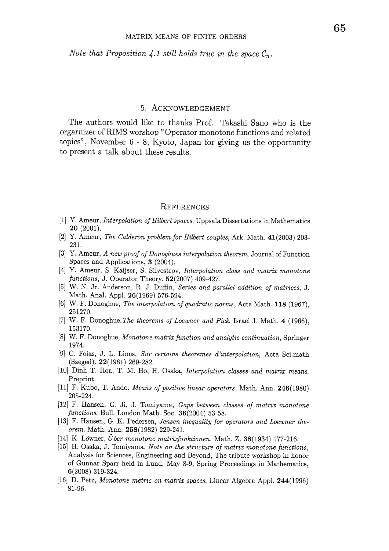Note that Proposition 4.1 still holds true in the space  $\mathcal{C}_{n}$ .

### 5. ACKNOWLEDGEMENT

The authors would like to thanks Prof. Takashi Sano who is the orgarnizer of RIMS worshop" Operator monotone functions and related topics", November 6 - 8, Kyoto, Japan for giving us the opportunity to present a talk about these results.

#### **REFERENCES**

- [1] Y. Ameur, Interpolation of Hilbert spaces, Uppsala Dissertations in Mathematics 20 (2001).
- [2] Y. Ameur, The Calderon problem for Hilbert couples, Ark. Math. 41(2003) 203- 231.
- [3] Y. Ameur, <sup>A</sup> new proof of Donoghues interpolation theorem, Journal of Function Spaces and Applications, 3 (2004).
- [4] Y. Ameur, S. Kaijser, S. Silvestrov, Interpolation class and matrix monotone functions, J. Operator Theory.  $52(2007)$  409-427.
- [5] W. N. Jr. Anderson, R. J. Duffin, Series and parallel addition of matrices, J. Math. Anal. Appl. 26(1969) 576-594.
- [6] W. F. Donoghue, The interpolation of quadratic norms, Acta Math. 118 (1967), 251270.
- [7] W. F. Donoghue, The theorems of Loewner and Pick, Israel J. Math. 4 (1966), 153170.
- [8] W. F. Donoghue, Monotone matrix function and analytic continuation, Springer 1974.
- [9] C. Foias, J. L. Lions, Sur certains theoremes d'interpolation, Acta Sci.math (Szeged). 22(1961) 269-282.
- [10] Dinh T. Hoa, T. M. Ho, H. Osaka, Interpolation classes and matrix means. Preprint.
- [11] F. Kubo, T. Ando, Means of positive linear operators, Math. Ann. 246(1980) 205-224.
- [12] F. Hansen, G. Ji, J. Tomiyama, Gaps between classes of matrix monotone  $functions,$  Bull. London Math. Soc.  $36(2004)$  53-58.
- [13] F. Hansen, G. K. Pedersen, Jensen inequality for operators and Loewner theorem, Math. Ann. 258(1982) 229-241.
- [14] K. Löwner,  $\ddot{U}$  ber monotone matrixfunktionen, Math. Z. 38(1934) 177-216.
- [15] H. Osaka, J. Tomiyama, Note on the structure of matrix monotone functions, Analysis for Sciences, Engineering and Beyond, The tribute workshop in honor of Gunnar Sparr held in Lund, May 8-9, Spring Proceedings in Mathematics, 6(2008) 319-324.
- [16] D. Petz, Monotone metric on matrix spaces, Linear Algebra Appl. 244(1996) 81-96.